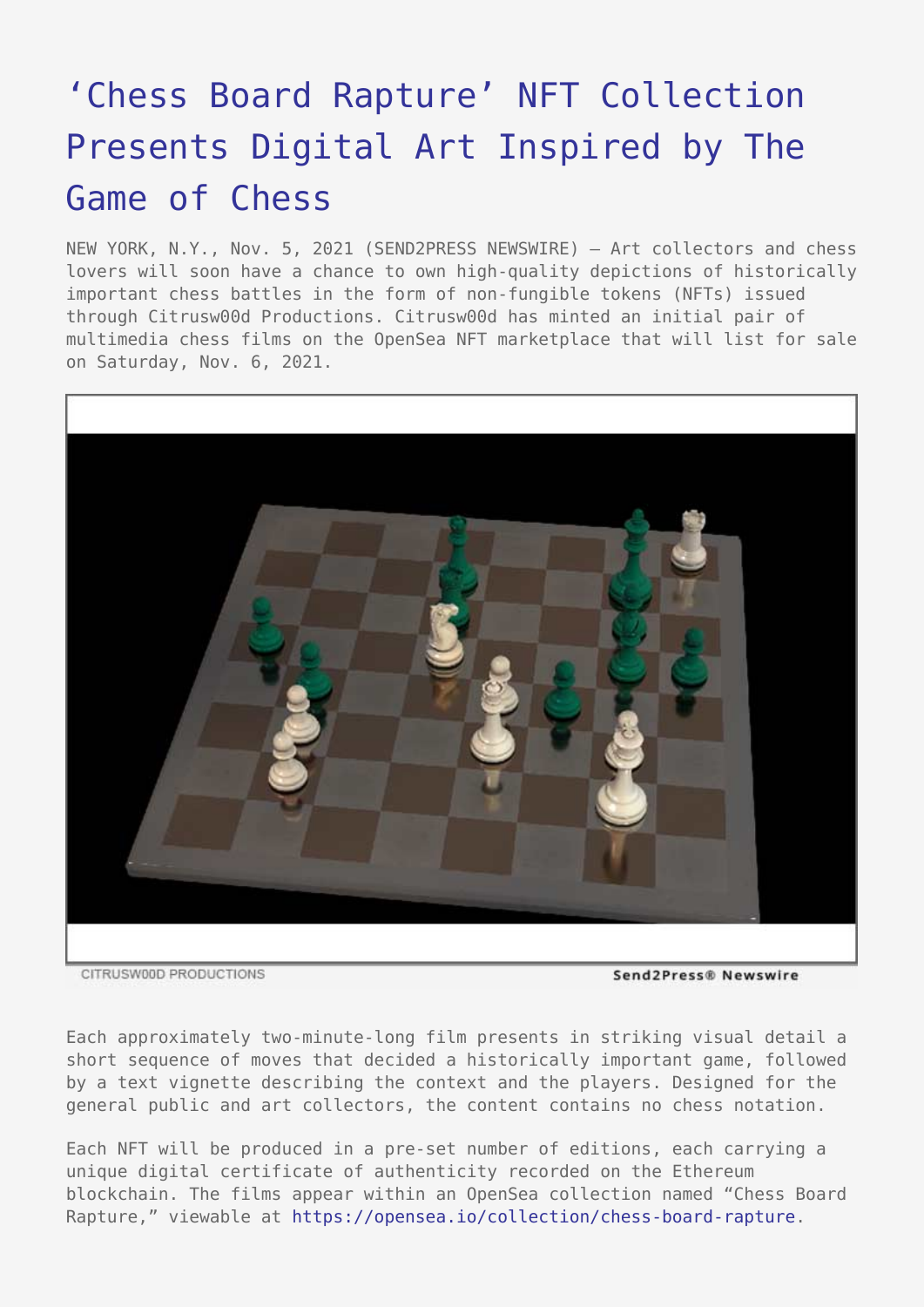## ['Chess Board Rapture' NFT Collection](https://www.send2press.com/wire/chess-board-rapture-nft-collection-presents-digital-art-inspired-by-the-game-of-chess/) [Presents Digital Art Inspired by The](https://www.send2press.com/wire/chess-board-rapture-nft-collection-presents-digital-art-inspired-by-the-game-of-chess/) [Game of Chess](https://www.send2press.com/wire/chess-board-rapture-nft-collection-presents-digital-art-inspired-by-the-game-of-chess/)

NEW YORK, N.Y., Nov. 5, 2021 (SEND2PRESS NEWSWIRE) — Art collectors and chess lovers will soon have a chance to own high-quality depictions of historically important chess battles in the form of non-fungible tokens (NFTs) issued through Citrusw00d Productions. Citrusw00d has minted an initial pair of multimedia chess films on the OpenSea NFT marketplace that will list for sale on Saturday, Nov. 6, 2021.



CITRUSW00D PRODUCTIONS

Send2Press® Newswire

Each approximately two-minute-long film presents in striking visual detail a short sequence of moves that decided a historically important game, followed by a text vignette describing the context and the players. Designed for the general public and art collectors, the content contains no chess notation.

Each NFT will be produced in a pre-set number of editions, each carrying a unique digital certificate of authenticity recorded on the Ethereum blockchain. The films appear within an OpenSea collection named "Chess Board Rapture," viewable at [https://opensea.io/collection/chess-board-rapture.](https://opensea.io/collection/chess-board-rapture)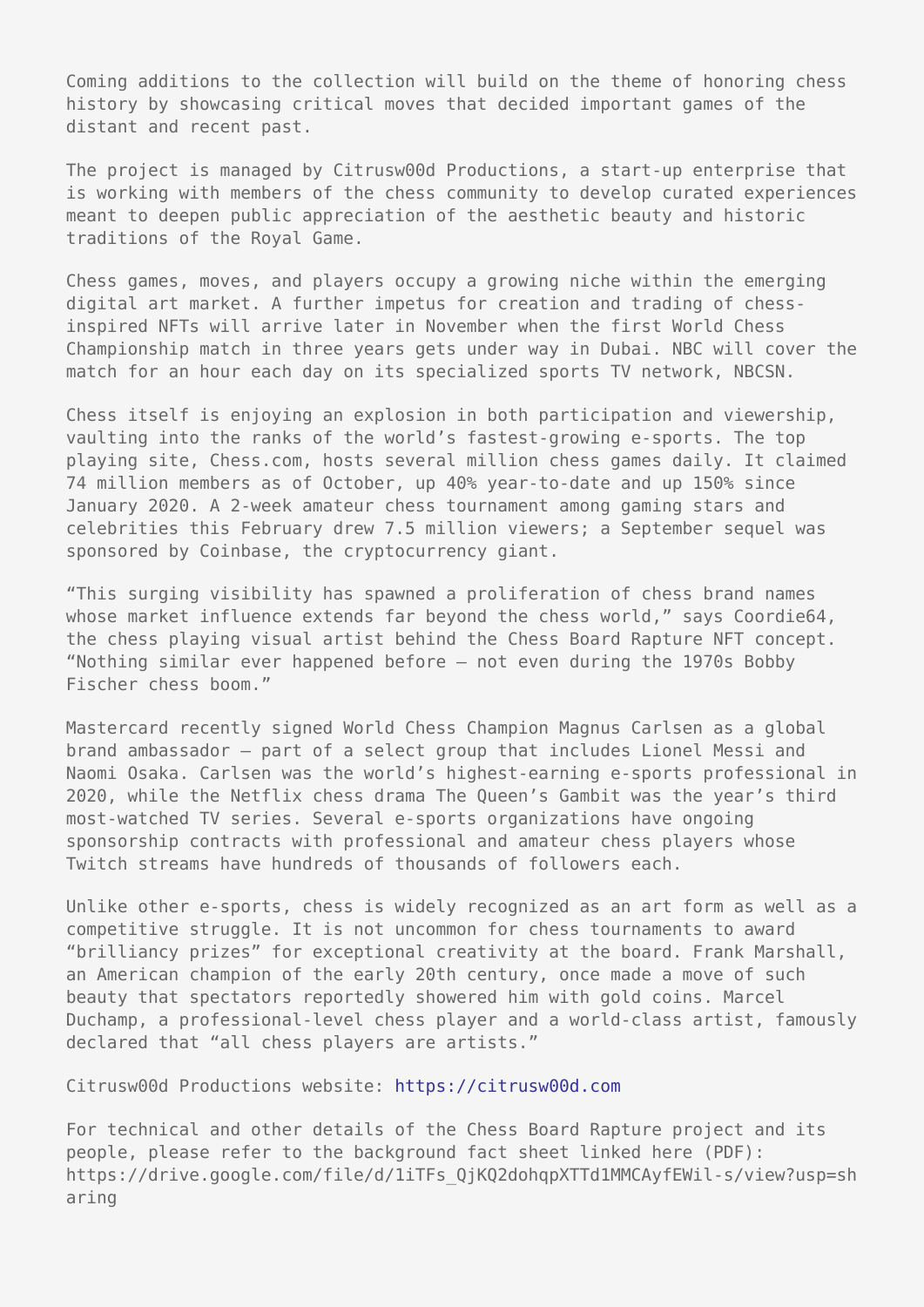Coming additions to the collection will build on the theme of honoring chess history by showcasing critical moves that decided important games of the distant and recent past.

The project is managed by Citrusw00d Productions, a start-up enterprise that is working with members of the chess community to develop curated experiences meant to deepen public appreciation of the aesthetic beauty and historic traditions of the Royal Game.

Chess games, moves, and players occupy a growing niche within the emerging digital art market. A further impetus for creation and trading of chessinspired NFTs will arrive later in November when the first World Chess Championship match in three years gets under way in Dubai. NBC will cover the match for an hour each day on its specialized sports TV network, NBCSN.

Chess itself is enjoying an explosion in both participation and viewership, vaulting into the ranks of the world's fastest-growing e-sports. The top playing site, Chess.com, hosts several million chess games daily. It claimed 74 million members as of October, up 40% year-to-date and up 150% since January 2020. A 2-week amateur chess tournament among gaming stars and celebrities this February drew 7.5 million viewers; a September sequel was sponsored by Coinbase, the cryptocurrency giant.

"This surging visibility has spawned a proliferation of chess brand names whose market influence extends far beyond the chess world," says Coordie64, the chess playing visual artist behind the Chess Board Rapture NFT concept. "Nothing similar ever happened before — not even during the 1970s Bobby Fischer chess boom."

Mastercard recently signed World Chess Champion Magnus Carlsen as a global brand ambassador — part of a select group that includes Lionel Messi and Naomi Osaka. Carlsen was the world's highest-earning e-sports professional in 2020, while the Netflix chess drama The Queen's Gambit was the year's third most-watched TV series. Several e-sports organizations have ongoing sponsorship contracts with professional and amateur chess players whose Twitch streams have hundreds of thousands of followers each.

Unlike other e-sports, chess is widely recognized as an art form as well as a competitive struggle. It is not uncommon for chess tournaments to award "brilliancy prizes" for exceptional creativity at the board. Frank Marshall, an American champion of the early 20th century, once made a move of such beauty that spectators reportedly showered him with gold coins. Marcel Duchamp, a professional-level chess player and a world-class artist, famously declared that "all chess players are artists."

Citrusw00d Productions website:<https://citrusw00d.com>

For technical and other details of the Chess Board Rapture project and its people, please refer to the background fact sheet linked here (PDF): https://drive.google.com/file/d/1iTFs\_QjKQ2dohqpXTTd1MMCAyfEWil-s/view?usp=sh aring